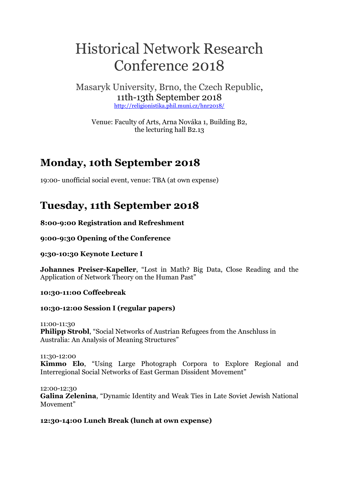# Historical Network Research Conference 2018

Masaryk University, Brno, the Czech Republic, 11th-13th September 2018 <http://religionistika.phil.muni.cz/hnr2018/>

Venue: Faculty of Arts, Arna Nováka 1, Building B2, the lecturing hall B2.13

# **Monday, 10th September 2018**

19:00- unofficial social event, venue: TBA (at own expense)

# **Tuesday, 11th September 2018**

**8:00-9:00 Registration and Refreshment**

**9:00-9:30 Opening of the Conference**

**9:30-10:30 Keynote Lecture I**

**Johannes Preiser-Kapeller**, "Lost in Math? Big Data, Close Reading and the Application of Network Theory on the Human Past"

**10:30-11:00 Coffeebreak**

# **10:30-12:00 Session I (regular papers)**

11:00-11:30 **Philipp Strobl**, "Social Networks of Austrian Refugees from the Anschluss in Australia: An Analysis of Meaning Structures"

11:30-12:00 **Kimmo Elo**, "Using Large Photograph Corpora to Explore Regional and Interregional Social Networks of East German Dissident Movement"

12:00-12:30 **Galina Zelenina**, "Dynamic Identity and Weak Ties in Late Soviet Jewish National Movement"

# **12:30-14:00 Lunch Break (lunch at own expense)**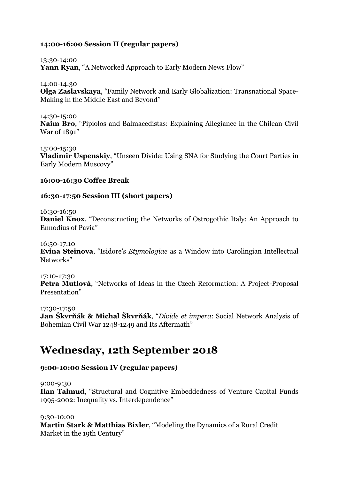# **14:00-16:00 Session II (regular papers)**

13:30-14:00

**Yann Ryan**, "A Networked Approach to Early Modern News Flow"

14:00-14:30

**Olga Zaslavskaya**, "Family Network and Early Globalization: Transnational Space-Making in the Middle East and Beyond"

14:30-15:00 **Naim Bro**, "Pipiolos and Balmacedistas: Explaining Allegiance in the Chilean Civil War of 1891"

15:00-15:30 **Vladimir Uspenskiy**, "Unseen Divide: Using SNA for Studying the Court Parties in Early Modern Muscovy"

# **16:00-16:30 Coffee Break**

# **16:30-17:50 Session III (short papers)**

16:30-16:50

**Daniel Knox**, "Deconstructing the Networks of Ostrogothic Italy: An Approach to Ennodius of Pavia"

16:50-17:10

**Evina Steinova**, "Isidore's *Etymologiae* as a Window into Carolingian Intellectual Networks"

17:10-17:30 **Petra Mutlová**, "Networks of Ideas in the Czech Reformation: A Project-Proposal Presentation"

17:30-17:50

**Jan Škvrňák & Michal Škvrňák**, "*Divide et impera*: Social Network Analysis of Bohemian Civil War 1248-1249 and Its Aftermath"

# **Wednesday, 12th September 2018**

# **9:00-10:00 Session IV (regular papers)**

9:00-9:30

**Ilan Talmud**, "Structural and Cognitive Embeddedness of Venture Capital Funds 1995-2002: Inequality vs. Interdependence"

9:30-10:00

**Martin Stark & Matthias Bixler**, "Modeling the Dynamics of a Rural Credit Market in the 19th Century"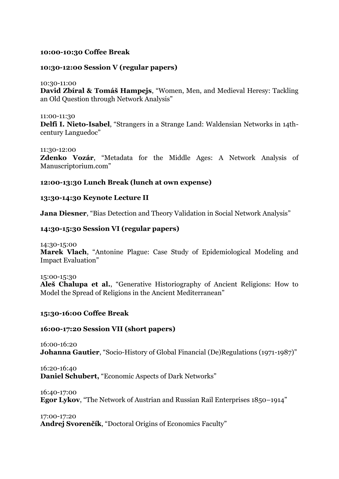## **10:00-10:30 Coffee Break**

#### **10:30-12:00 Session V (regular papers)**

10:30-11:00

**David Zbíral & Tomáš Hampejs**, "Women, Men, and Medieval Heresy: Tackling an Old Question through Network Analysis"

11:00-11:30 **Delfi I. Nieto-Isabel**, "Strangers in a Strange Land: Waldensian Networks in 14thcentury Languedoc"

#### 11:30-12:00

**Zdenko Vozár**, "Metadata for the Middle Ages: A Network Analysis of Manuscriptorium.com"

#### **12:00-13:30 Lunch Break (lunch at own expense)**

#### **13:30-14:30 Keynote Lecture II**

**Jana Diesner**, "Bias Detection and Theory Validation in Social Network Analysis"

#### **14:30-15:30 Session VI (regular papers)**

14:30-15:00

**Marek Vlach**, "Antonine Plague: Case Study of Epidemiological Modeling and Impact Evaluation"

15:00-15:30 **Aleš Chalupa et al.**, "Generative Historiography of Ancient Religions: How to Model the Spread of Religions in the Ancient Mediterranean"

#### **15:30-16:00 Coffee Break**

# **16:00-17:20 Session VII (short papers)**

16:00-16:20 **Johanna Gautier**, "Socio-History of Global Financial (De)Regulations (1971-1987)"

16:20-16:40 **Daniel Schubert,** "Economic Aspects of Dark Networks"

16:40-17:00

**Egor Lykov**, "The Network of Austrian and Russian Rail Enterprises 1850–1914"

17:00-17:20

**Andrej Svorenčík**, "Doctoral Origins of Economics Faculty"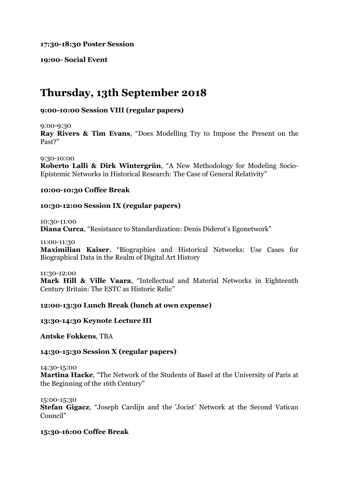**17:30-18:30 Poster Session**

**19:00- Social Event**

# **Thursday, 13th September 2018**

# **9:00-10:00 Session VIII (regular papers)**

9:00-9:30

**Ray Rivers & Tim Evans**, "Does Modelling Try to Impose the Present on the Past?"

9:30-10:00 **Roberto Lalli & Dirk Wintergrün**, "A New Methodology for Modeling Socio-Epistemic Networks in Historical Research: The Case of General Relativity"

#### **10:00-10:30 Coffee Break**

# **10:30-12:00 Session IX (regular papers)**

10:30-11:00 **Diana Curca**, "Resistance to Standardization: Denis Diderot's Egonetwork"

11:00-11:30

**Maximilian Kaiser**, "Biographies and Historical Networks: Use Cases for Biographical Data in the Realm of Digital Art History

11:30-12:00

**Mark Hill & Ville Vaara**, "Intellectual and Material Networks in Eighteenth Century Britain: The ESTC as Historic Relic"

# **12:00-13:30 Lunch Break (lunch at own expense)**

**13:30-14:30 Keynote Lecture III**

**Antske Fokkens**, TBA

# **14:30-15:30 Session X (regular papers)**

14:30-15:00

**Martina Hacke**, "The Network of the Students of Basel at the University of Paris at the Beginning of the 16th Century"

15:00-15:30

**Stefan Gigacz**, "Joseph Cardijn and the 'Jocist' Network at the Second Vatican Council"

# **15:30-16:00 Coffee Break**